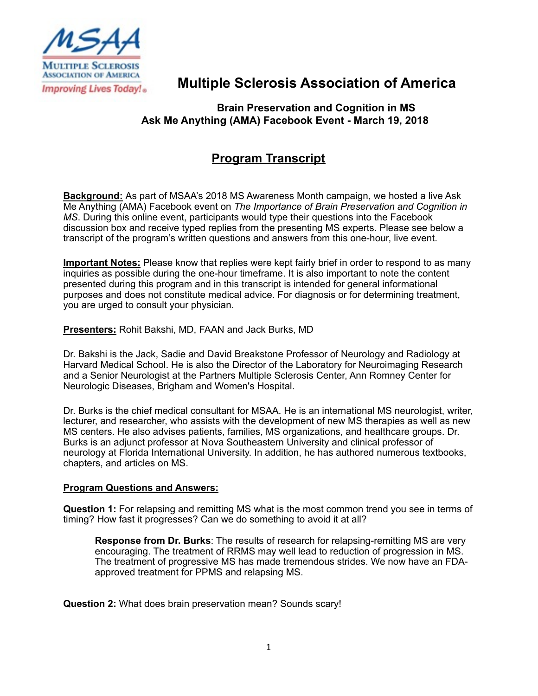

# **Multiple Sclerosis Association of America**

## **Brain Preservation and Cognition in MS Ask Me Anything (AMA) Facebook Event - March 19, 2018**

# **Program Transcript**

**Background:** As part of MSAA's 2018 MS Awareness Month campaign, we hosted a live Ask Me Anything (AMA) Facebook event on *The Importance of Brain Preservation and Cognition in MS*. During this online event, participants would type their questions into the Facebook discussion box and receive typed replies from the presenting MS experts. Please see below a transcript of the program's written questions and answers from this one-hour, live event.

**Important Notes:** Please know that replies were kept fairly brief in order to respond to as many inquiries as possible during the one-hour timeframe. It is also important to note the content presented during this program and in this transcript is intended for general informational purposes and does not constitute medical advice. For diagnosis or for determining treatment, you are urged to consult your physician.

**Presenters:** Rohit Bakshi, MD, FAAN and Jack Burks, MD

Dr. Bakshi is the Jack, Sadie and David Breakstone Professor of Neurology and Radiology at Harvard Medical School. He is also the Director of the Laboratory for Neuroimaging Research and a Senior Neurologist at the Partners Multiple Sclerosis Center, Ann Romney Center for Neurologic Diseases, Brigham and Women's Hospital.

Dr. Burks is the chief medical consultant for MSAA. He is an international MS neurologist, writer, lecturer, and researcher, who assists with the development of new MS therapies as well as new MS centers. He also advises patients, families, MS organizations, and healthcare groups. Dr. Burks is an adjunct professor at Nova Southeastern University and clinical professor of neurology at Florida International University. In addition, he has authored numerous textbooks, chapters, and articles on MS.

### **Program Questions and Answers:**

**Question 1:** For relapsing and remitting MS what is the most common trend you see in terms of timing? How fast it progresses? Can we do something to avoid it at all?

**Response from Dr. Burks**: The results of research for relapsing-remitting MS are very encouraging. The treatment of RRMS may well lead to reduction of progression in MS. The treatment of progressive MS has made tremendous strides. We now have an FDAapproved treatment for PPMS and relapsing MS.

**Question 2:** What does brain preservation mean? Sounds scary!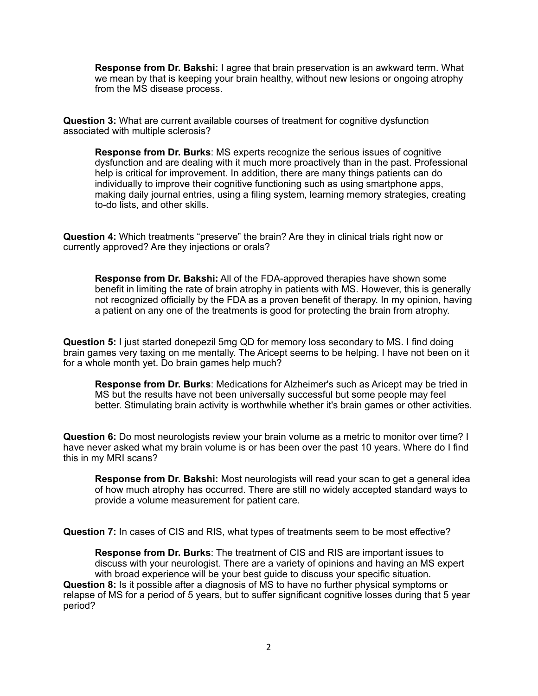**Response from Dr. Bakshi:** I agree that brain preservation is an awkward term. What we mean by that is keeping your brain healthy, without new lesions or ongoing atrophy from the MS disease process.

**Question 3:** What are current available courses of treatment for cognitive dysfunction associated with multiple sclerosis?

**Response from Dr. Burks**: MS experts recognize the serious issues of cognitive dysfunction and are dealing with it much more proactively than in the past. Professional help is critical for improvement. In addition, there are many things patients can do individually to improve their cognitive functioning such as using smartphone apps, making daily journal entries, using a filing system, learning memory strategies, creating to-do lists, and other skills.

**Question 4:** Which treatments "preserve" the brain? Are they in clinical trials right now or currently approved? Are they injections or orals?

**Response from Dr. Bakshi:** All of the FDA-approved therapies have shown some benefit in limiting the rate of brain atrophy in patients with MS. However, this is generally not recognized officially by the FDA as a proven benefit of therapy. In my opinion, having a patient on any one of the treatments is good for protecting the brain from atrophy.

**Question 5:** I just started donepezil 5mg QD for memory loss secondary to MS. I find doing brain games very taxing on me mentally. The Aricept seems to be helping. I have not been on it for a whole month yet. Do brain games help much?

**Response from Dr. Burks**: Medications for Alzheimer's such as Aricept may be tried in MS but the results have not been universally successful but some people may feel better. Stimulating brain activity is worthwhile whether it's brain games or other activities.

**Question 6:** Do most neurologists review your brain volume as a metric to monitor over time? I have never asked what my brain volume is or has been over the past 10 years. Where do I find this in my MRI scans?

**Response from Dr. Bakshi:** Most neurologists will read your scan to get a general idea of how much atrophy has occurred. There are still no widely accepted standard ways to provide a volume measurement for patient care.

**Question 7:** In cases of CIS and RIS, what types of treatments seem to be most effective?

**Response from Dr. Burks**: The treatment of CIS and RIS are important issues to discuss with your neurologist. There are a variety of opinions and having an MS expert with broad experience will be your best guide to discuss your specific situation. **Question 8:** Is it possible after a diagnosis of MS to have no further physical symptoms or relapse of MS for a period of 5 years, but to suffer significant cognitive losses during that 5 year period?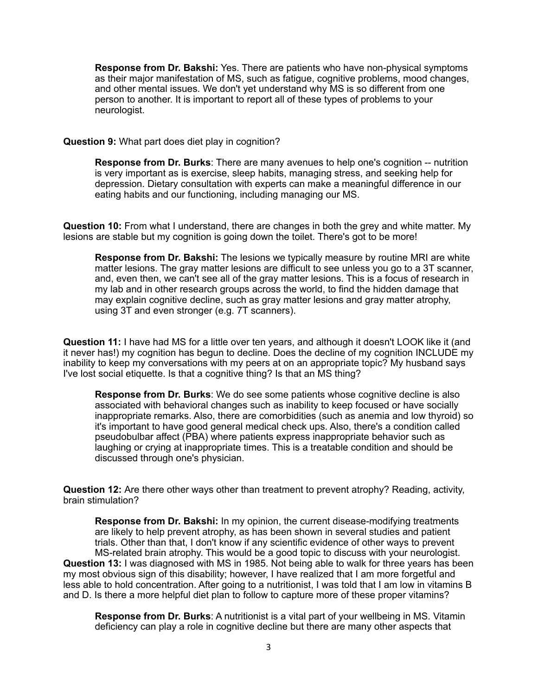**Response from Dr. Bakshi:** Yes. There are patients who have non-physical symptoms as their major manifestation of MS, such as fatigue, cognitive problems, mood changes, and other mental issues. We don't yet understand why MS is so different from one person to another. It is important to report all of these types of problems to your neurologist.

#### **Question 9:** What part does diet play in cognition?

**Response from Dr. Burks**: There are many avenues to help one's cognition -- nutrition is very important as is exercise, sleep habits, managing stress, and seeking help for depression. Dietary consultation with experts can make a meaningful difference in our eating habits and our functioning, including managing our MS.

**Question 10:** From what I understand, there are changes in both the grey and white matter. My lesions are stable but my cognition is going down the toilet. There's got to be more!

**Response from Dr. Bakshi:** The lesions we typically measure by routine MRI are white matter lesions. The gray matter lesions are difficult to see unless you go to a 3T scanner, and, even then, we can't see all of the gray matter lesions. This is a focus of research in my lab and in other research groups across the world, to find the hidden damage that may explain cognitive decline, such as gray matter lesions and gray matter atrophy, using 3T and even stronger (e.g. 7T scanners).

**Question 11:** I have had MS for a little over ten years, and although it doesn't LOOK like it (and it never has!) my cognition has begun to decline. Does the decline of my cognition INCLUDE my inability to keep my conversations with my peers at on an appropriate topic? My husband says I've lost social etiquette. Is that a cognitive thing? Is that an MS thing?

**Response from Dr. Burks**: We do see some patients whose cognitive decline is also associated with behavioral changes such as inability to keep focused or have socially inappropriate remarks. Also, there are comorbidities (such as anemia and low thyroid) so it's important to have good general medical check ups. Also, there's a condition called pseudobulbar affect (PBA) where patients express inappropriate behavior such as laughing or crying at inappropriate times. This is a treatable condition and should be discussed through one's physician.

**Question 12:** Are there other ways other than treatment to prevent atrophy? Reading, activity, brain stimulation?

**Response from Dr. Bakshi:** In my opinion, the current disease-modifying treatments are likely to help prevent atrophy, as has been shown in several studies and patient trials. Other than that, I don't know if any scientific evidence of other ways to prevent MS-related brain atrophy. This would be a good topic to discuss with your neurologist. **Question 13:** I was diagnosed with MS in 1985. Not being able to walk for three years has been my most obvious sign of this disability; however, I have realized that I am more forgetful and less able to hold concentration. After going to a nutritionist, I was told that I am low in vitamins B and D. Is there a more helpful diet plan to follow to capture more of these proper vitamins?

**Response from Dr. Burks**: A nutritionist is a vital part of your wellbeing in MS. Vitamin deficiency can play a role in cognitive decline but there are many other aspects that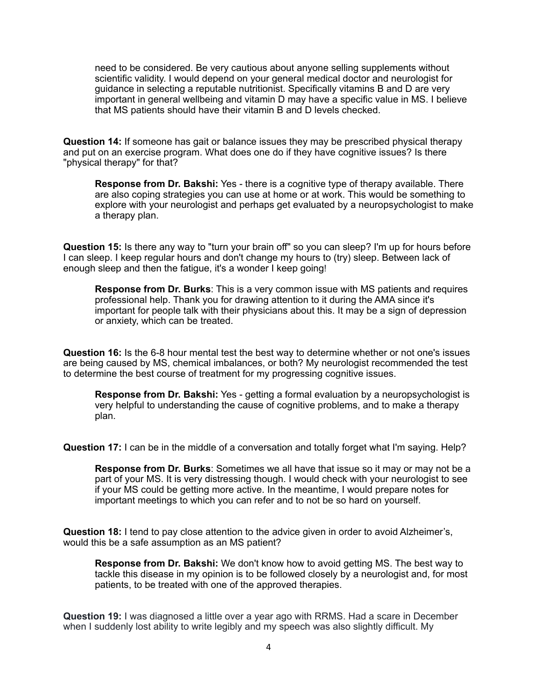need to be considered. Be very cautious about anyone selling supplements without scientific validity. I would depend on your general medical doctor and neurologist for guidance in selecting a reputable nutritionist. Specifically vitamins B and D are very important in general wellbeing and vitamin D may have a specific value in MS. I believe that MS patients should have their vitamin B and D levels checked.

**Question 14:** If someone has gait or balance issues they may be prescribed physical therapy and put on an exercise program. What does one do if they have cognitive issues? Is there "physical therapy" for that?

**Response from Dr. Bakshi:** Yes - there is a cognitive type of therapy available. There are also coping strategies you can use at home or at work. This would be something to explore with your neurologist and perhaps get evaluated by a neuropsychologist to make a therapy plan.

**Question 15:** Is there any way to "turn your brain off" so you can sleep? I'm up for hours before I can sleep. I keep regular hours and don't change my hours to (try) sleep. Between lack of enough sleep and then the fatigue, it's a wonder I keep going!

**Response from Dr. Burks**: This is a very common issue with MS patients and requires professional help. Thank you for drawing attention to it during the AMA since it's important for people talk with their physicians about this. It may be a sign of depression or anxiety, which can be treated.

**Question 16:** Is the 6-8 hour mental test the best way to determine whether or not one's issues are being caused by MS, chemical imbalances, or both? My neurologist recommended the test to determine the best course of treatment for my progressing cognitive issues.

**Response from Dr. Bakshi:** Yes - getting a formal evaluation by a neuropsychologist is very helpful to understanding the cause of cognitive problems, and to make a therapy plan.

**Question 17:** I can be in the middle of a conversation and totally forget what I'm saying. Help?

**Response from Dr. Burks**: Sometimes we all have that issue so it may or may not be a part of your MS. It is very distressing though. I would check with your neurologist to see if your MS could be getting more active. In the meantime, I would prepare notes for important meetings to which you can refer and to not be so hard on yourself.

**Question 18:** I tend to pay close attention to the advice given in order to avoid Alzheimer's, would this be a safe assumption as an MS patient?

**Response from Dr. Bakshi:** We don't know how to avoid getting MS. The best way to tackle this disease in my opinion is to be followed closely by a neurologist and, for most patients, to be treated with one of the approved therapies.

**Question 19:** I was diagnosed a little over a year ago with RRMS. Had a scare in December when I suddenly lost ability to write legibly and my speech was also slightly difficult. My